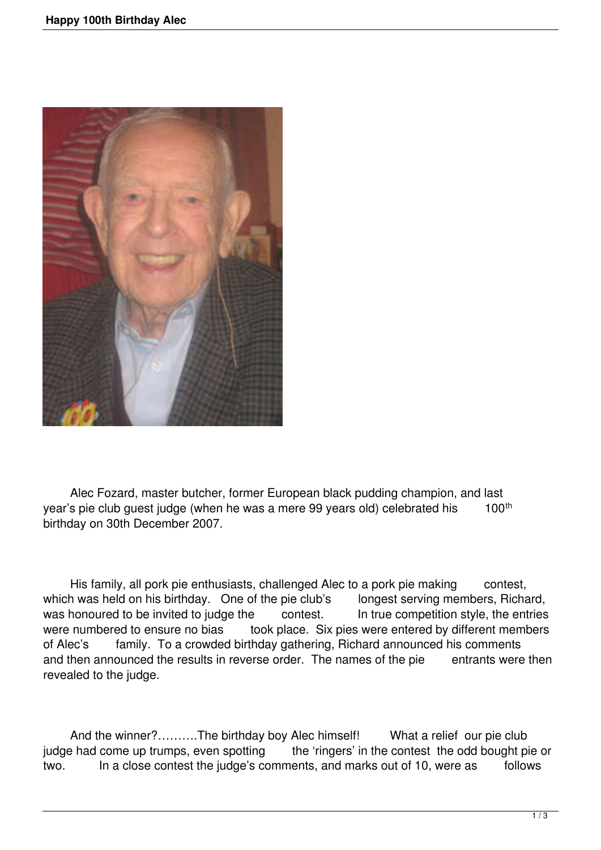

 Alec Fozard, master butcher, former European black pudding champion, and last year's pie club guest judge (when he was a mere 99 years old) celebrated his 100<sup>th</sup> birthday on 30th December 2007.

His family, all pork pie enthusiasts, challenged Alec to a pork pie making contest, which was held on his birthday. One of the pie club's longest serving members, Richard, was honoured to be invited to judge the contest. In true competition style, the entries were numbered to ensure no bias took place. Six pies were entered by different members of Alec's family. To a crowded birthday gathering, Richard announced his comments and then announced the results in reverse order. The names of the pie entrants were then revealed to the judge.

And the winner?……….The birthday boy Alec himself! What a relief our pie club judge had come up trumps, even spotting the 'ringers' in the contest the odd bought pie or two. In a close contest the judge's comments, and marks out of 10, were as follows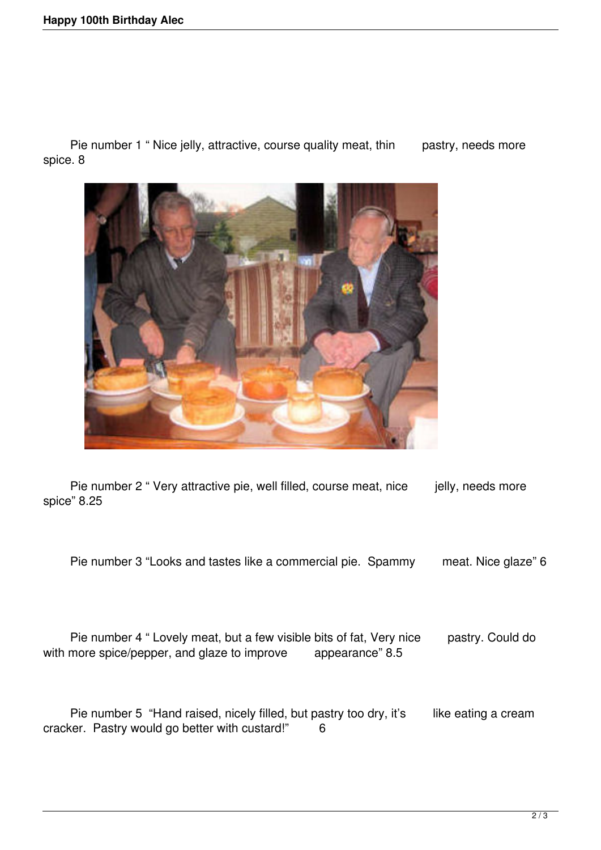Pie number 1 " Nice jelly, attractive, course quality meat, thin pastry, needs more spice. 8



Pie number 2 " Very attractive pie, well filled, course meat, nice jelly, needs more spice" 8.25

Pie number 3 "Looks and tastes like a commercial pie. Spammy meat. Nice glaze" 6

Pie number 4 " Lovely meat, but a few visible bits of fat, Very nice pastry. Could do more spice/pepper, and glaze to improve appearance" 8.5 with more spice/pepper, and glaze to improve

Pie number 5 "Hand raised, nicely filled, but pastry too dry, it's like eating a cream cracker. Pastry would go better with custard!" 6